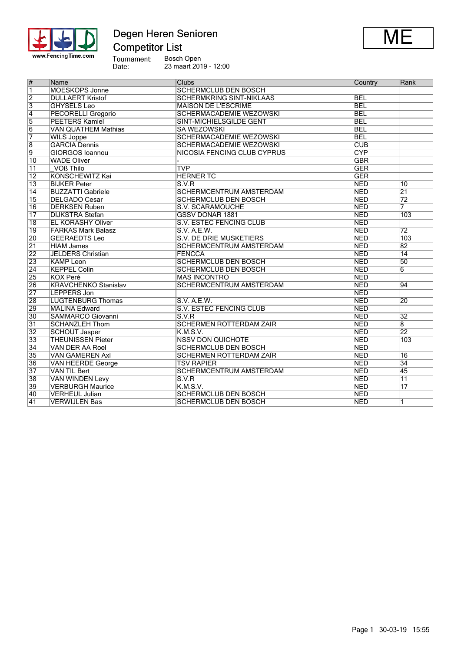

Degen Heren Senioren



Bosch Open 23 maart 2019 - 12:00

| $\overline{\#}$ | Name                        | <b>Clubs</b>                       | Country                 | Rank            |
|-----------------|-----------------------------|------------------------------------|-------------------------|-----------------|
| $\overline{1}$  | <b>MOESKOPS Jonne</b>       | <b>SCHERMCLUB DEN BOSCH</b>        |                         |                 |
| $\overline{2}$  | <b>DULLAERT Kristof</b>     | <b>SCHERMKRING SINT-NIKLAAS</b>    | <b>BEL</b>              |                 |
| $\overline{3}$  | <b>GHYSELS Leo</b>          | <b>MAISON DE L'ESCRIME</b>         | <b>BEL</b>              |                 |
| $\overline{4}$  | <b>PECORELLI Gregorio</b>   | <b>SCHERMACADEMIE WEZOWSKI</b>     | <b>BEL</b>              |                 |
| $\overline{5}$  | <b>PEETERS Kamiel</b>       | <b>SINT-MICHIELSGILDE GENT</b>     | <b>BEL</b>              |                 |
| $\overline{6}$  | <b>VAN QUATHEM Mathias</b>  | <b>SA WEZOWSKI</b>                 | <b>BEL</b>              |                 |
| 7               | <b>WILS Joppe</b>           | <b>SCHERMACADEMIE WEZOWSKI</b>     | <b>BEL</b>              |                 |
| $\overline{8}$  | <b>GARCIA</b> Dennis        | <b>SCHERMACADEMIE WEZOWSKI</b>     | $\overline{\text{CUB}}$ |                 |
| $\overline{9}$  | <b>GIORGOS Ioannou</b>      | <b>NICOSIA FENCING CLUB CYPRUS</b> | <b>CYP</b>              |                 |
| $\overline{10}$ | <b>WADE Oliver</b>          |                                    | <b>GBR</b>              |                 |
| 11              | VOß Thilo                   | <b>TVP</b>                         | <b>GER</b>              |                 |
| $\overline{12}$ | <b>KONSCHEWITZ Kai</b>      | <b>HERNER TC</b>                   | <b>GER</b>              |                 |
| $\overline{13}$ | <b>BIJKER Peter</b>         | S.V.R                              | <b>NED</b>              | $\overline{10}$ |
| $\overline{14}$ | <b>BUZZATTI Gabriele</b>    | <b>SCHERMCENTRUM AMSTERDAM</b>     | <b>NED</b>              | $\overline{21}$ |
| $\overline{15}$ | <b>DELGADO Cesar</b>        | <b>SCHERMCLUB DEN BOSCH</b>        | <b>NED</b>              | $\overline{72}$ |
| $\overline{16}$ | <b>DERKSEN Ruben</b>        | <b>S.V. SCARAMOUCHE</b>            | <b>NED</b>              | 7               |
| $\overline{17}$ | <b>DIJKSTRA Stefan</b>      | <b>GSSV DONAR 1881</b>             | <b>NED</b>              | 103             |
| $\overline{18}$ | <b>EL KORASHY Oliver</b>    | S.V. ESTEC FENCING CLUB            | <b>NED</b>              |                 |
| $\overline{19}$ | <b>FARKAS Mark Balasz</b>   | S.V. A.E.W.                        | <b>NED</b>              | $\overline{72}$ |
| 20              | <b>GEERAEDTS Leo</b>        | <b>S.V. DE DRIE MUSKETIERS</b>     | <b>NED</b>              | 103             |
| $\overline{21}$ | <b>HIAM James</b>           | <b>SCHERMCENTRUM AMSTERDAM</b>     | <b>NED</b>              | 82              |
| 22              | <b>JELDERS Christian</b>    | FENCCA                             | <b>NED</b>              | $\overline{14}$ |
| 23              | <b>KAMP Leon</b>            | <b>SCHERMCLUB DEN BOSCH</b>        | <b>NED</b>              | 50              |
| $\overline{24}$ | <b>KEPPEL Colin</b>         | <b>SCHERMCLUB DEN BOSCH</b>        | <b>NED</b>              | 6               |
| 25              | <b>KOX Peré</b>             | <b>MAS INCONTRO</b>                | <b>NED</b>              |                 |
| 26              | <b>KRAVCHENKO Stanislav</b> | <b>SCHERMCENTRUM AMSTERDAM</b>     | <b>NED</b>              | 94              |
| 27              | <b>LEPPERS Jon</b>          |                                    | <b>NED</b>              |                 |
| 28              | <b>LUGTENBURG Thomas</b>    | S.V. A.E.W.                        | <b>NED</b>              | 20              |
| 29              | <b>MALINA Edward</b>        | <b>S.V. ESTEC FENCING CLUB</b>     | <b>NED</b>              |                 |
| 30              | <b>SAMMARCO Giovanni</b>    | S.V.R                              | <b>NED</b>              | $\overline{32}$ |
| $\overline{31}$ | <b>SCHANZLEH Thom</b>       | <b>SCHERMEN ROTTERDAM ZAÏR</b>     | <b>NED</b>              | 8               |
| 32              | <b>SCHOUT Jasper</b>        | K.M.S.V.                           | <b>NED</b>              | $\overline{22}$ |
| 33              | <b>THEUNISSEN Pieter</b>    | <b>NSSV DON QUICHOTE</b>           | <b>NED</b>              | 103             |
| $\overline{34}$ | <b>VAN DER AA Roel</b>      | <b>SCHERMCLUB DEN BOSCH</b>        | <b>NED</b>              |                 |
| 35              | <b>VAN GAMEREN Axl</b>      | <b>SCHERMEN ROTTERDAM ZAÏR</b>     | <b>NED</b>              | 16              |
| 36              | <b>VAN HEERDE George</b>    | <b>TSV RAPIER</b>                  | <b>NED</b>              | $\overline{34}$ |
| 37              | <b>VAN TIL Bert</b>         | <b>SCHERMCENTRUM AMSTERDAM</b>     | <b>NED</b>              | 45              |
| 38              | <b>VAN WINDEN Levy</b>      | S.V.R                              | <b>NED</b>              | $\overline{11}$ |
| 39              | <b>VERBURGH Maurice</b>     | K.M.S.V.                           | <b>NED</b>              | 17              |
| 40              | <b>VERHEUL Julian</b>       | <b>SCHERMCLUB DEN BOSCH</b>        | <b>NED</b>              |                 |
| 41              | <b>VERWIJLEN Bas</b>        | <b>SCHERMCLUB DEN BOSCH</b>        | <b>NED</b>              | $\overline{1}$  |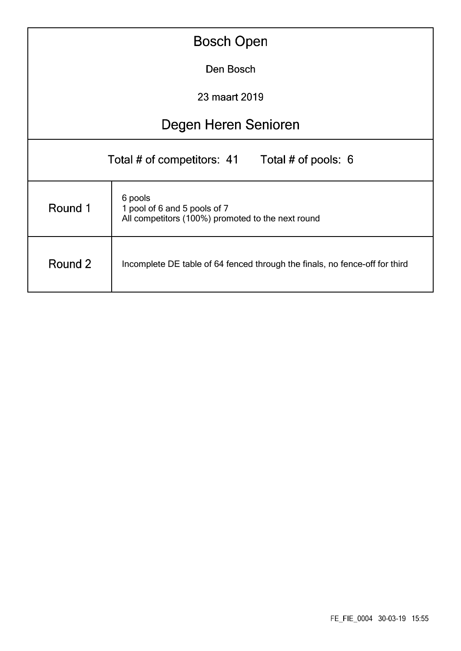|                                                                                        | <b>Bosch Open</b>                                                                            |  |  |  |  |  |  |  |
|----------------------------------------------------------------------------------------|----------------------------------------------------------------------------------------------|--|--|--|--|--|--|--|
|                                                                                        | Den Bosch                                                                                    |  |  |  |  |  |  |  |
|                                                                                        | 23 maart 2019                                                                                |  |  |  |  |  |  |  |
|                                                                                        | Degen Heren Senioren                                                                         |  |  |  |  |  |  |  |
| Total # of competitors: 41<br>Total # of pools: $6$                                    |                                                                                              |  |  |  |  |  |  |  |
| Round 1                                                                                | 6 pools<br>1 pool of 6 and 5 pools of 7<br>All competitors (100%) promoted to the next round |  |  |  |  |  |  |  |
| Round 2<br>Incomplete DE table of 64 fenced through the finals, no fence-off for third |                                                                                              |  |  |  |  |  |  |  |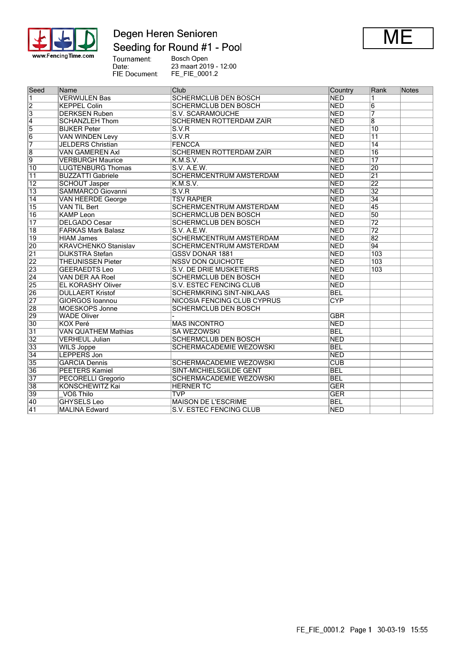

## Degen Heren Senioren Seeding for Round #1 - Pool



Tournament:<br>Date:<br>FIE Document: Bosch Open 23 maart 2019 - 12:00 FE\_FIE\_0001.2

| Seed            | Name                        | Club                               | Country                 | Rank                    | Notes |
|-----------------|-----------------------------|------------------------------------|-------------------------|-------------------------|-------|
| $\overline{1}$  | <b>VERWIJLEN Bas</b>        | <b>SCHERMCLUB DEN BOSCH</b>        | <b>NED</b>              | 1                       |       |
| $\overline{2}$  | <b>KEPPEL Colin</b>         | <b>SCHERMCLUB DEN BOSCH</b>        | <b>NED</b>              | $6\overline{6}$         |       |
| $\overline{3}$  | <b>DERKSEN Ruben</b>        | S.V. SCARAMOUCHE                   | <b>NED</b>              | 7                       |       |
|                 | <b>SCHANZLEH Thom</b>       | <b>SCHERMEN ROTTERDAM ZAÏR</b>     | <b>NED</b>              | $\overline{\mathbf{8}}$ |       |
| $\frac{4}{5}$   | <b>BIJKER Peter</b>         | S.V.R                              | <b>NED</b>              | $\overline{10}$         |       |
| $\overline{6}$  | <b>VAN WINDEN Levy</b>      | S.V.R                              | <b>NED</b>              | $\overline{11}$         |       |
| 7               | <b>JELDERS Christian</b>    | <b>FENCCA</b>                      | <b>NED</b>              | $\overline{14}$         |       |
| $\overline{8}$  | <b>VAN GAMEREN Axl</b>      | <b>SCHERMEN ROTTERDAM ZAÏR</b>     | <b>NED</b>              | 16                      |       |
| $\overline{9}$  | <b>VERBURGH Maurice</b>     | K.M.S.V.                           | <b>NED</b>              | $\overline{17}$         |       |
| $\overline{10}$ | <b>LUGTENBURG Thomas</b>    | S.V. A.E.W.                        | <b>NED</b>              | $\overline{20}$         |       |
| $\overline{11}$ | <b>BUZZATTI Gabriele</b>    | <b>SCHERMCENTRUM AMSTERDAM</b>     | <b>NED</b>              | $\overline{21}$         |       |
| $\overline{12}$ | <b>SCHOUT Jasper</b>        | K.M.S.V.                           | <b>NED</b>              | $\overline{22}$         |       |
| $\overline{13}$ | <b>SAMMARCO Giovanni</b>    | S.V.R                              | <b>NED</b>              | $\overline{32}$         |       |
| $\overline{14}$ | <b>VAN HEERDE George</b>    | <b>TSV RAPIER</b>                  | <b>NED</b>              | $\overline{34}$         |       |
| $\overline{15}$ | <b>VAN TIL Bert</b>         | SCHERMCENTRUM AMSTERDAM            | <b>NED</b>              | $\overline{45}$         |       |
| 16              | <b>KAMP Leon</b>            | <b>SCHERMCLUB DEN BOSCH</b>        | <b>NED</b>              | $\overline{50}$         |       |
| $\overline{17}$ | <b>DELGADO Cesar</b>        | <b>SCHERMCLUB DEN BOSCH</b>        | <b>NED</b>              | $\overline{72}$         |       |
| $\overline{18}$ | <b>FARKAS Mark Balasz</b>   | S.V. A.E.W.                        | <b>NED</b>              | $\overline{72}$         |       |
| 19              | <b>HIAM James</b>           | <b>SCHERMCENTRUM AMSTERDAM</b>     | <b>NED</b>              | $\overline{82}$         |       |
| 20              | <b>KRAVCHENKO Stanislav</b> | <b>SCHERMCENTRUM AMSTERDAM</b>     | <b>NED</b>              | $\overline{94}$         |       |
| $\overline{21}$ | <b>DIJKSTRA Stefan</b>      | <b>GSSV DONAR 1881</b>             | <b>NED</b>              | 103                     |       |
| 22              | <b>THEUNISSEN Pieter</b>    | <b>NSSV DON QUICHOTE</b>           | <b>NED</b>              | 103                     |       |
| $\overline{23}$ | <b>GEERAEDTS Leo</b>        | S.V. DE DRIE MUSKETIERS            | <b>NED</b>              | $\overline{103}$        |       |
| $\overline{24}$ | VAN DER AA Roel             | <b>SCHERMCLUB DEN BOSCH</b>        | <b>NED</b>              |                         |       |
| 25              | <b>EL KORASHY Oliver</b>    | <b>S.V. ESTEC FENCING CLUB</b>     | <b>NED</b>              |                         |       |
| 26              | <b>DULLAERT Kristof</b>     | <b>SCHERMKRING SINT-NIKLAAS</b>    | <b>BEL</b>              |                         |       |
| $\overline{27}$ | <b>GIORGOS Ioannou</b>      | <b>NICOSIA FENCING CLUB CYPRUS</b> | CYP                     |                         |       |
| 28              | <b>MOESKOPS Jonne</b>       | <b>SCHERMCLUB DEN BOSCH</b>        |                         |                         |       |
| 29              | <b>WADE Oliver</b>          |                                    | <b>GBR</b>              |                         |       |
| 30              | <b>KOX Peré</b>             | <b>MAS INCONTRO</b>                | <b>NED</b>              |                         |       |
| $\overline{31}$ | <b>VAN QUATHEM Mathias</b>  | <b>SA WEZOWSKI</b>                 | <b>BEL</b>              |                         |       |
| 32              | <b>VERHEUL Julian</b>       | <b>SCHERMCLUB DEN BOSCH</b>        | <b>NED</b>              |                         |       |
| 33              | <b>WILS Joppe</b>           | SCHERMACADEMIE WEZOWSKI            | <b>BEL</b>              |                         |       |
| $\overline{34}$ | <b>LEPPERS Jon</b>          |                                    | <b>NED</b>              |                         |       |
| 35              | <b>GARCIA Dennis</b>        | <b>SCHERMACADEMIE WEZOWSKI</b>     | $\overline{\text{CUB}}$ |                         |       |
| 36              | <b>PEETERS Kamiel</b>       | SINT-MICHIELSGILDE GENT            | <b>BEL</b>              |                         |       |
| 37              | <b>PECORELLI Gregorio</b>   | SCHERMACADEMIE WEZOWSKI            | <b>BEL</b>              |                         |       |
| 38              | <b>KONSCHEWITZ Kai</b>      | <b>HERNER TC</b>                   | <b>GER</b>              |                         |       |
| 39              | VOß Thilo                   | <b>TVP</b>                         | <b>GER</b>              |                         |       |
| 40              | <b>GHYSELS Leo</b>          | <b>MAISON DE L'ESCRIME</b>         | <b>BEL</b>              |                         |       |
| 41              | <b>MALINA Edward</b>        | S.V. ESTEC FENCING CLUB            | <b>NED</b>              |                         |       |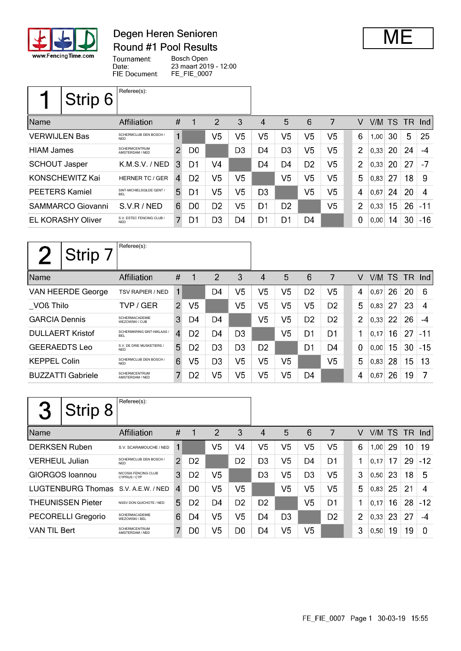

### Degen Heren Senioren Round #1 Pool Results



Tournament: Bosch Open Date: 23 maart 2019 - 12:00 FIE Document: FE\_FIE\_0007

|                       | Strip 6                  | Referee(s):                             |                |                |                |                |                |                |                |                |                |        |    |      |        |
|-----------------------|--------------------------|-----------------------------------------|----------------|----------------|----------------|----------------|----------------|----------------|----------------|----------------|----------------|--------|----|------|--------|
| <b>Name</b>           |                          | Affiliation                             | #              |                | 2              | 3              | 4              | 5              | 6              | 7              | V              | V/M TS |    | - TR | -Ind l |
| <b>VERWIJLEN Bas</b>  |                          | SCHERMCLUB DEN BOSCH /<br><b>NFD</b>    | 1              |                | V <sub>5</sub> | V5             | V <sub>5</sub> | V <sub>5</sub> | V <sub>5</sub> | V <sub>5</sub> | 6              | 1,00   | 30 | 5    | 25     |
| <b>HIAM James</b>     |                          | <b>SCHERMCENTRUM</b><br>AMSTERDAM / NED | $\overline{2}$ | D <sub>0</sub> |                | D <sub>3</sub> | D4             | D <sub>3</sub> | V <sub>5</sub> | V <sub>5</sub> | $\overline{2}$ | 0,33   | 20 | 24   | $-4$   |
| <b>SCHOUT Jasper</b>  |                          | K.M.S.V. / NED                          | 3              | D1             | V4             |                | D4             | D4             | D <sub>2</sub> | V <sub>5</sub> | $\overline{2}$ | 0,33   | 20 | 27   | -7     |
|                       | KONSCHEWITZ Kai          | <b>HERNER TC / GER</b>                  | 4              | D <sub>2</sub> | V5             | V5             |                | V <sub>5</sub> | V5             | V <sub>5</sub> | 5              | 0,83   | 27 | 18   | -9     |
| <b>PEETERS Kamiel</b> |                          | SINT-MICHIELSGILDE GENT /<br><b>BFI</b> | 5              | D1             | V <sub>5</sub> | V <sub>5</sub> | D <sub>3</sub> |                | V <sub>5</sub> | V <sub>5</sub> | 4              | 0,67   | 24 | 20   | 4      |
|                       | <b>SAMMARCO Giovanni</b> | S.V.R/NED                               | 6              | D <sub>0</sub> | D <sub>2</sub> | V5             | D1             | D <sub>2</sub> |                | V <sub>5</sub> | $\overline{2}$ | 0,33   | 15 | 26   | $-11$  |
|                       | <b>EL KORASHY Oliver</b> | S.V. ESTEC FENCING CLUB /<br><b>NED</b> | 7              | D1             | D3             | D4             | D1             | D1             | D4             |                | $\mathbf 0$    | 0,00   | 14 | 30   | $-16$  |

| Strip 7                  | Referee(s):                                    |                |                |                |                |                |                |                |                |                |      |    |                 |       |
|--------------------------|------------------------------------------------|----------------|----------------|----------------|----------------|----------------|----------------|----------------|----------------|----------------|------|----|-----------------|-------|
| Name                     | Affiliation                                    | #              |                | 2              | 3              | 4              | 5              | 6              | 7              | V              |      |    | V/M TS TR Ind   |       |
| VAN HEERDE George        | <b>TSV RAPIER / NED</b>                        | 1              |                | D4             | V5             | V5             | V5             | D <sub>2</sub> | V <sub>5</sub> | 4              | 0.67 | 26 | 20              | 6     |
| <b>VOß Thilo</b>         | TVP / GER                                      | $\overline{2}$ | V <sub>5</sub> |                | V5             | V5             | V <sub>5</sub> | V <sub>5</sub> | D <sub>2</sub> | 5              | 0,83 | 27 | 23              | 4     |
| <b>GARCIA Dennis</b>     | <b>SCHERMACADEMIE</b><br>WFZOWSKI/CUB          | 3              | D4             | D <sub>4</sub> |                | V5             | V5             | D <sub>2</sub> | D <sub>2</sub> | $\overline{2}$ | 0,33 | 22 | 26              | -4    |
| <b>DULLAERT Kristof</b>  | <b>SCHERMKRING SINT-NIKLAAS/</b><br><b>BFI</b> | $\overline{4}$ | D <sub>2</sub> | D4             | D <sub>3</sub> |                | V5             | D1             | D1             | 1              | 0,17 | 16 | 27              | $-11$ |
| <b>GEERAEDTS Leo</b>     | S.V. DE DRIE MUSKETIERS /<br><b>NFD</b>        | 5              | D <sub>2</sub> | D <sub>3</sub> | D <sub>3</sub> | D <sub>2</sub> |                | D <sub>1</sub> | D4             | $\mathbf 0$    | 0.00 | 15 | 30              | $-15$ |
| <b>KEPPEL Colin</b>      | SCHERMCLUB DEN BOSCH /<br><b>NFD</b>           | 6              | V5             | D <sub>3</sub> | V5             | V5             | V5             |                | V5             | 5              | 0,83 | 28 | 15 <sub>1</sub> | 13    |
| <b>BUZZATTI Gabriele</b> | <b>SCHERMCENTRUM</b><br>AMSTERDAM / NED        | 7              | D <sub>2</sub> | V5             | V5             | V5             | V5             | D4             |                | 4              | 0,67 | 26 | 19              | 7     |

|                       | Strip 8                   | Referee(s):                             |    |                |                |                |                |                |                |                |                |      |     |     |       |
|-----------------------|---------------------------|-----------------------------------------|----|----------------|----------------|----------------|----------------|----------------|----------------|----------------|----------------|------|-----|-----|-------|
| <b>Name</b>           |                           | Affiliation                             | #  |                | 2              | 3              | 4              | 5              | 6              | 7              | v              | V/M  | TS. | TR. | Ind   |
| <b>DERKSEN Ruben</b>  |                           | S.V. SCARAMOUCHE / NED                  |    |                | V5             | V4             | V5             | V <sub>5</sub> | V5             | V5             | 6              | 1,00 | 29  | 10  | 19    |
| <b>VERHEUL Julian</b> |                           | SCHERMCLUB DEN BOSCH /<br><b>NFD</b>    | 2  | D <sub>2</sub> |                | D <sub>2</sub> | D <sub>3</sub> | V5             | D4             | D1             | 1              | 0.17 | 17  | 29  | $-12$ |
|                       | <b>GIORGOS</b> Ioannou    | NICOSIA FENCING CLUB<br>CYPRUS / CYP    | 3  | D <sub>2</sub> | V5             |                | D <sub>3</sub> | V5             | D <sub>3</sub> | V5             | 3              | 0,50 | 23  | 18  | 5     |
|                       | <b>LUGTENBURG Thomas</b>  | S.V. A.E.W. / NED                       | 4  | D <sub>0</sub> | V <sub>5</sub> | V5             |                | V <sub>5</sub> | V5             | V5             | 5              | 0.83 | 25  | 21  | 4     |
|                       | <b>THEUNISSEN Pieter</b>  | NSSV DON QUICHOTE / NED                 | 5. | D <sub>2</sub> | D4             | D <sub>2</sub> | D <sub>2</sub> |                | V5             | D1             | 1              | 0.17 | 16  | 28  | $-12$ |
|                       | <b>PECORELLI Gregorio</b> | <b>SCHERMACADEMIE</b><br>WEZOWSKI / BEL | 6  | D4             | V5             | V5             | D4             | D <sub>3</sub> |                | D <sub>2</sub> | $\overline{2}$ | 0.33 | 23  | 27  | $-4$  |
| <b>VAN TIL Bert</b>   |                           | <b>SCHERMCENTRUM</b><br>AMSTERDAM / NED | 7  | D0             | V5             | D <sub>0</sub> | D4             | V5             | V5             |                | 3              | 0,50 | 19  | 19  | 0     |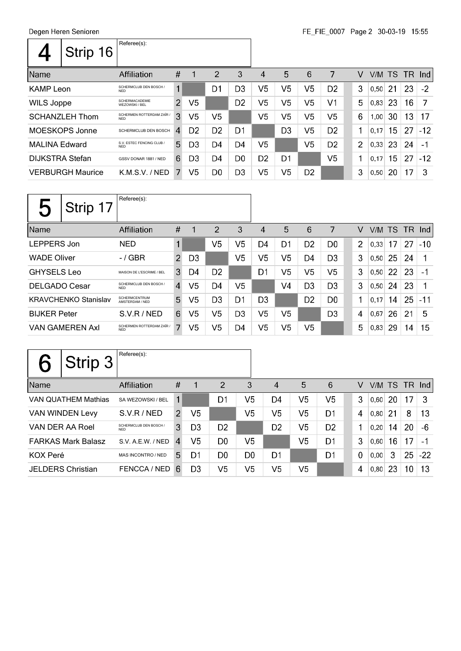|                        | Strip 16                | Referee(s):                             |                |                |                |                |                |                |                |                |   |        |    |        |       |
|------------------------|-------------------------|-----------------------------------------|----------------|----------------|----------------|----------------|----------------|----------------|----------------|----------------|---|--------|----|--------|-------|
| <b>Name</b>            |                         | Affiliation                             | #              |                | 2              | 3              | 4              | 5              | 6              | 7              | V | V/M TS |    | TR Ind |       |
| <b>KAMP Leon</b>       |                         | SCHERMCLUB DEN BOSCH /<br><b>NFD</b>    | 1              |                | D <sub>1</sub> | D <sub>3</sub> | V <sub>5</sub> | V <sub>5</sub> | V <sub>5</sub> | D <sub>2</sub> | 3 | 0,50   | 21 | 23     | $-2$  |
| <b>WILS Joppe</b>      |                         | <b>SCHERMACADEMIE</b><br>WEZOWSKI / BEL | $\overline{2}$ | V5             |                | D <sub>2</sub> | V5             | V <sub>5</sub> | V <sub>5</sub> | V <sub>1</sub> | 5 | 0,83   | 23 | 16     | 7     |
|                        | <b>SCHANZLEH Thom</b>   | SCHERMEN ROTTERDAM ZAÏR /<br><b>NED</b> | 3              | V5             | V5             |                | V5             | V <sub>5</sub> | V <sub>5</sub> | V <sub>5</sub> | 6 | 1,00   | 30 | 13     | 17    |
|                        | MOESKOPS Jonne          | SCHERMCLUB DEN BOSCH                    | $\overline{4}$ | D <sub>2</sub> | D <sub>2</sub> | D1             |                | D <sub>3</sub> | V <sub>5</sub> | D <sub>2</sub> | 1 | 0.17   | 15 | 27     | $-12$ |
| <b>MALINA Edward</b>   |                         | S.V. ESTEC FENCING CLUB /<br><b>NED</b> | 5              | D <sub>3</sub> | D4             | D <sub>4</sub> | V5             |                | V <sub>5</sub> | D <sub>2</sub> | 2 | 0,33   | 23 | 24     | $-1$  |
| <b>DIJKSTRA Stefan</b> |                         | GSSV DONAR 1881 / NED                   | 6              | D <sub>3</sub> | D <sub>4</sub> | D <sub>0</sub> | D <sub>2</sub> | D <sub>1</sub> |                | V <sub>5</sub> | 1 | 0,17   | 15 | 27     | $-12$ |
|                        | <b>VERBURGH Maurice</b> | K.M.S.V. / NED                          | 7.             | V <sub>5</sub> | D <sub>0</sub> | D <sub>3</sub> | V <sub>5</sub> | V <sub>5</sub> | D <sub>2</sub> |                | 3 | 0,50   | 20 | 17     | 3     |

| $\overline{\phantom{a}}$ | Strip 17                    | Referee(s):                             |                |                |                |                |                |                |                |                |                |        |    |     |            |
|--------------------------|-----------------------------|-----------------------------------------|----------------|----------------|----------------|----------------|----------------|----------------|----------------|----------------|----------------|--------|----|-----|------------|
| Name                     |                             | <b>Affiliation</b>                      | #              | 1              | 2              | 3              | 4              | 5              | 6              | 7              | V              | V/M TS |    | TR. | <b>Ind</b> |
| LEPPERS Jon              |                             | <b>NED</b>                              | 1              |                | V5             | V5             | D4             | D1             | D <sub>2</sub> | D <sub>0</sub> | $\overline{2}$ | 0,33   | 17 | 27  | $-10$      |
| <b>WADE Oliver</b>       |                             | $-$ / GBR                               | $\overline{2}$ | D <sub>3</sub> |                | V5             | V5             | V5             | D4             | D <sub>3</sub> | 3              | 0,50   | 25 | 24  |            |
| <b>GHYSELS Leo</b>       |                             | MAISON DE L'ESCRIME / BEL               | 3              | D4             | D <sub>2</sub> |                | D1             | V5             | V5             | V <sub>5</sub> | 3              | 0,50   | 22 | 23  | -1         |
| <b>DELGADO Cesar</b>     |                             | SCHERMCLUB DEN BOSCH /<br><b>NED</b>    | $\overline{4}$ | V5             | D4             | V5             |                | V4             | D <sub>3</sub> | D <sub>3</sub> | 3              | 0,50   | 24 | 23  | 1          |
|                          | <b>KRAVCHENKO Stanislav</b> | <b>SCHERMCENTRUM</b><br>AMSTERDAM / NED | 5              | V5             | D <sub>3</sub> | D1             | D <sub>3</sub> |                | D <sub>2</sub> | D <sub>0</sub> | 1              | 0,17   | 14 | 25  | $-11$      |
| <b>BIJKER Peter</b>      |                             | S.V.R/NED                               | 6              | V5             | V5             | D <sub>3</sub> | V5             | V <sub>5</sub> |                | D <sub>3</sub> | 4              | 0,67   | 26 | 21  | 5          |
|                          | <b>VAN GAMEREN Axl</b>      | SCHERMEN ROTTERDAM ZAÏR /<br><b>NED</b> | $\mathbf{7}$   | V <sub>5</sub> | V5             | D4             | V5             | V5             | V <sub>5</sub> |                | 5              | 0.83   | 29 | 14  | 15         |

|                          | Strip 3                    | Referee(s):                          |   |                |                |                |                |                |                |             |        |    |    |          |
|--------------------------|----------------------------|--------------------------------------|---|----------------|----------------|----------------|----------------|----------------|----------------|-------------|--------|----|----|----------|
| Name                     |                            | Affiliation                          | # |                | $\overline{2}$ | 3              | $\overline{4}$ | 5              | 6              | V           | V/M TS |    |    | $TR$ Ind |
|                          | <b>VAN QUATHEM Mathias</b> | SA WEZOWSKI / BEL                    |   |                | D <sub>1</sub> | V <sub>5</sub> | D <sub>4</sub> | V <sub>5</sub> | V <sub>5</sub> | 3           | 0,60   | 20 | 17 | 3        |
|                          | <b>VAN WINDEN Levy</b>     | S.V.R/NED                            | 2 | V <sub>5</sub> |                | V <sub>5</sub> | V <sub>5</sub> | V <sub>5</sub> | D <sub>1</sub> | 4           | 0,80   | 21 | 8  | 13       |
| VAN DER AA Roel          |                            | SCHERMCLUB DEN BOSCH /<br><b>NFD</b> | 3 | D <sub>3</sub> | D <sub>2</sub> |                | D <sub>2</sub> | V <sub>5</sub> | D <sub>2</sub> | 1           | 0,20   | 14 | 20 | -6       |
|                          | <b>FARKAS Mark Balasz</b>  | S.V. A.E.W. / NED                    | 4 | V <sub>5</sub> | D <sub>0</sub> | V <sub>5</sub> |                | V <sub>5</sub> | D <sub>1</sub> | 3           | 0,60   | 16 | 17 | -1       |
| <b>KOX Peré</b>          |                            | MAS INCONTRO / NED                   | 5 | D <sub>1</sub> | D <sub>0</sub> | D <sub>0</sub> | D1             |                | D <sub>1</sub> | $\mathbf 0$ | 0,00   | 3  | 25 | $-22$    |
| <b>JELDERS Christian</b> |                            | FENCCA / NED                         | 6 | D <sub>3</sub> | V <sub>5</sub> | V <sub>5</sub> | V <sub>5</sub> | V <sub>5</sub> |                | 4           | 0,80   | 23 | 10 | 13       |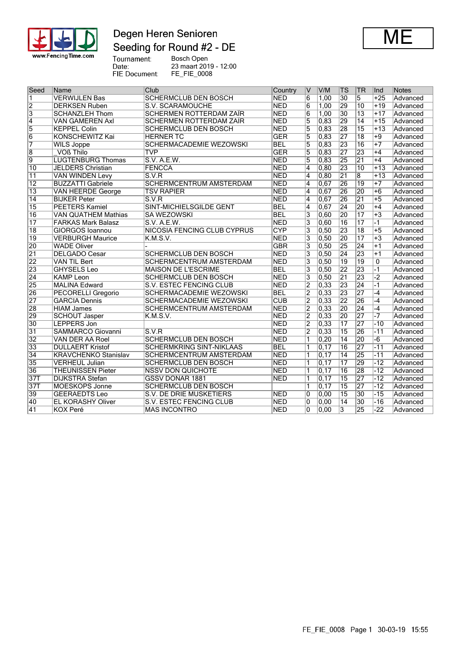

# Degen Heren Senioren Seeding for Round #2 - DE



Tournament:<br>Date:<br>FIE Document:

Bosch Open 23 maart 2019 - 12:00 FE\_FIE\_0008

| Seed            | Name                        | Club                               | Country    | $\vee$                  | V/M               | TS              | TR              | Ind   | <b>Notes</b> |
|-----------------|-----------------------------|------------------------------------|------------|-------------------------|-------------------|-----------------|-----------------|-------|--------------|
| 1               | <b>VERWIJLEN Bas</b>        | <b>SCHERMCLUB DEN BOSCH</b>        | <b>NED</b> | $\overline{6}$          | 1,00              | 30              | 5               | $+25$ | Advanced     |
| $\overline{2}$  | <b>DERKSEN Ruben</b>        | <b>S.V. SCARAMOUCHE</b>            | <b>NED</b> | 6                       | 1,00              | 29              | 10              | $+19$ | Advanced     |
| $\overline{3}$  | <b>SCHANZLEH Thom</b>       | <b>SCHERMEN ROTTERDAM ZAÏR</b>     | <b>NED</b> | 6                       | 1,00              | $\overline{30}$ | 13              | $+17$ | Advanced     |
| $\overline{4}$  | <b>VAN GAMEREN Axl</b>      | SCHERMEN ROTTERDAM ZAÏR            | <b>NED</b> | 5                       | 0,83              | 29              | 14              | $+15$ | Advanced     |
| $\overline{5}$  | <b>KEPPEL Colin</b>         | <b>SCHERMCLUB DEN BOSCH</b>        | <b>NED</b> | $\overline{5}$          | 0,83              | 28              | $\overline{15}$ | $+13$ | Advanced     |
| $\overline{6}$  | <b>KONSCHEWITZ Kai</b>      | <b>HERNER TC</b>                   | <b>GER</b> | 5                       | 0,83              | $\overline{27}$ | $\overline{18}$ | $+9$  | Advanced     |
| $\overline{7}$  | <b>WILS Joppe</b>           | <b>SCHERMACADEMIE WEZOWSKI</b>     | <b>BEL</b> | $\overline{5}$          | 0,83              | 23              | $\overline{16}$ | $+7$  | Advanced     |
| $\overline{8}$  | <b>VOß Thilo</b>            | TVP                                | <b>GER</b> | $\overline{5}$          | 0,83              | 27              | 23              | $+4$  | Advanced     |
| $\overline{9}$  | <b>LUGTENBURG Thomas</b>    | S.V. A.E.W.                        | <b>NED</b> | 5                       | 0,83              | 25              | $\overline{21}$ | $+4$  | Advanced     |
| $\overline{10}$ | <b>JELDERS Christian</b>    | <b>FENCCA</b>                      | <b>NED</b> | 4                       | 0.80              | $\overline{23}$ | $\overline{10}$ | $+13$ | Advanced     |
| $\overline{11}$ | <b>VAN WINDEN Levy</b>      | S.V.R                              | <b>NED</b> | 4                       | 0,80              | $\overline{21}$ | 8               | $+13$ | Advanced     |
| $\overline{12}$ | <b>BUZZATTI Gabriele</b>    | SCHERMCENTRUM AMSTERDAM            | <b>NED</b> | 4                       | 0,67              | 26              | $\overline{19}$ | $+7$  | Advanced     |
| $\overline{13}$ | <b>VAN HEERDE George</b>    | <b>TSV RAPIER</b>                  | <b>NED</b> | $\overline{4}$          | 0,67              | 26              | 20              | $+6$  | Advanced     |
| $\overline{14}$ | <b>BIJKER Peter</b>         | S.V.R                              | <b>NED</b> | $\overline{\mathbf{4}}$ | 0,67              | 26              | $\overline{21}$ | $+5$  | Advanced     |
| $\overline{15}$ | <b>PEETERS Kamiel</b>       | SINT-MICHIELSGILDE GENT            | <b>BEL</b> | 4                       | 0,67              | $\overline{24}$ | $\overline{20}$ | $+4$  | Advanced     |
| $\overline{16}$ | <b>VAN QUATHEM Mathias</b>  | <b>SA WEZOWSKI</b>                 | <b>BEL</b> | 3                       | 0,60              | 20              | $\overline{17}$ | $+3$  | Advanced     |
| $\overline{17}$ | <b>FARKAS Mark Balasz</b>   | S.V. A.E.W.                        | <b>NED</b> | $\overline{3}$          | 0,60              | 16              | $\overline{17}$ | $-1$  | Advanced     |
| $\overline{18}$ | <b>GIORGOS</b> Ioannou      | <b>NICOSIA FENCING CLUB CYPRUS</b> | <b>CYP</b> | $\overline{\mathbf{3}}$ | 0, 50             | 23              | $\overline{18}$ | $+5$  | Advanced     |
| $\overline{19}$ | <b>VERBURGH Maurice</b>     | K.M.S.V.                           | <b>NED</b> | $\overline{3}$          | 0,50              | 20              | $\overline{17}$ | $+3$  | Advanced     |
| 20              | <b>WADE Oliver</b>          |                                    | <b>GBR</b> | 3                       | 0,50              | 25              | 24              | $+1$  | Advanced     |
| $\overline{21}$ | <b>DELGADO Cesar</b>        | SCHERMCLUB DEN BOSCH               | <b>NED</b> | $\overline{3}$          | 0, 50             | 24              | 23              | $+1$  | Advanced     |
| 22              | VAN TIL Bert                | SCHERMCENTRUM AMSTERDAM            | <b>NED</b> | $\overline{\mathbf{3}}$ | 0, 50             | $\overline{19}$ | $\overline{19}$ | 0     | Advanced     |
| 23              | <b>GHYSELS Leo</b>          | <b>MAISON DE L'ESCRIME</b>         | <b>BEL</b> | $\overline{3}$          | 0, 50             | 22              | 23              | $-1$  | Advanced     |
| $\overline{24}$ | <b>KAMP Leon</b>            | <b>SCHERMCLUB DEN BOSCH</b>        | <b>NED</b> | 3                       | 0.50              | $\overline{21}$ | 23              | $-2$  | Advanced     |
| 25              | <b>MALINA Edward</b>        | S.V. ESTEC FENCING CLUB            | <b>NED</b> | $\overline{2}$          | 0,33              | 23              | $\overline{24}$ | $-1$  | Advanced     |
| 26              | <b>PECORELLI Gregorio</b>   | <b>SCHERMACADEMIE WEZOWSKI</b>     | <b>BEL</b> | $\overline{2}$          | 0,33              | 23              | 27              | $-4$  | Advanced     |
| $\overline{27}$ | <b>GARCIA Dennis</b>        | <b>SCHERMACADEMIE WEZOWSKI</b>     | <b>CUB</b> | $\overline{2}$          | $\overline{0,33}$ | 22              | 26              | $-4$  | Advanced     |
| 28              | <b>HIAM James</b>           | <b>SCHERMCENTRUM AMSTERDAM</b>     | <b>NED</b> | $\overline{2}$          | 0,33              | 20              | 24              | $-4$  | Advanced     |
| 29              | <b>SCHOUT Jasper</b>        | K.M.S.V.                           | <b>NED</b> | $\overline{2}$          | 0,33              | 20              | 27              | -7    | Advanced     |
| 30              | <b>LEPPERS Jon</b>          |                                    | <b>NED</b> | $\overline{2}$          | 0,33              | 17              | $\overline{27}$ | $-10$ | Advanced     |
| $\overline{31}$ | <b>SAMMARCO Giovanni</b>    | S.V.R                              | <b>NED</b> | $\overline{2}$          | 0,33              | $\overline{15}$ | 26              | $-11$ | Advanced     |
| $\overline{32}$ | VAN DER AA Roel             | <b>SCHERMCLUB DEN BOSCH</b>        | <b>NED</b> | $\overline{1}$          | 0,20              | $\overline{14}$ | 20              | $-6$  | Advanced     |
| $\overline{33}$ | <b>DULLAERT Kristof</b>     | <b>SCHERMKRING SINT-NIKLAAS</b>    | <b>BEL</b> | 1                       | 0, 17             | $\overline{16}$ | $\overline{27}$ | $-11$ | Advanced     |
| 34              | <b>KRAVCHENKO Stanislav</b> | <b>SCHERMCENTRUM AMSTERDAM</b>     | <b>NED</b> | 1                       | 0,17              | $\overline{14}$ | 25              | $-11$ | Advanced     |
| 35              | <b>VERHEUL Julian</b>       | <b>SCHERMCLUB DEN BOSCH</b>        | <b>NED</b> | $\mathbf{1}$            | $\overline{0,17}$ | $\overline{17}$ | 29              | $-12$ | Advanced     |
| 36              | <b>THEUNISSEN Pieter</b>    | <b>NSSV DON QUICHOTE</b>           | <b>NED</b> | 1                       | $\overline{0,17}$ | 16              | 28              | $-12$ | Advanced     |
| 37T             | <b>DIJKSTRA Stefan</b>      | <b>GSSV DONAR 1881</b>             | <b>NED</b> | 1                       | 0, 17             | 15              | 27              | $-12$ | Advanced     |
| 37T             | <b>MOESKOPS Jonne</b>       | <b>SCHERMCLUB DEN BOSCH</b>        |            | 1                       | 0, 17             | $\overline{15}$ | 27              | $-12$ | Advanced     |
| 39              | <b>GEERAEDTS Leo</b>        | S.V. DE DRIE MUSKETIERS            | <b>NED</b> | 0                       | 0,00              | 15              | 30              | $-15$ | Advanced     |
| 40              | EL KORASHY Oliver           | S.V. ESTEC FENCING CLUB            | <b>NED</b> | 0                       | 0,00              | $\overline{14}$ | $\overline{30}$ | $-16$ | Advanced     |
| $\overline{41}$ | <b>KOX Peré</b>             | <b>MAS INCONTRO</b>                | <b>NED</b> | 0                       | 0,00              | 3               | 25              | $-22$ | Advanced     |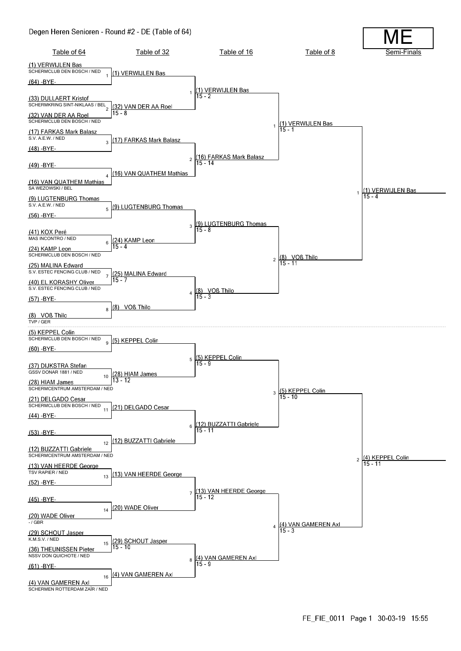#### Degen Heren Senioren - Round #2 - DE (Table of 64)

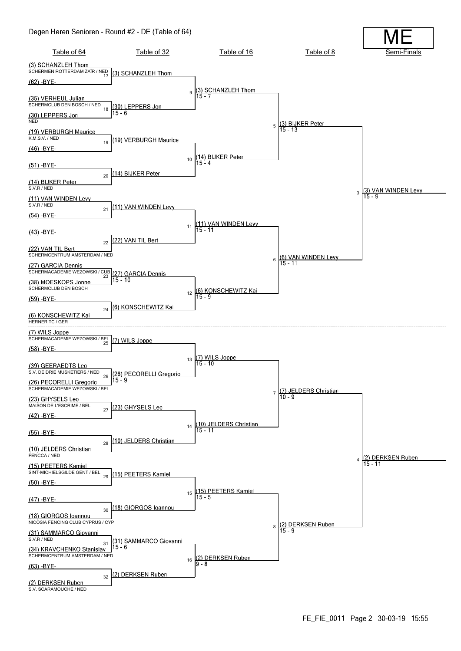#### Degen Heren Senioren - Round #2 - DE (Table of 64)

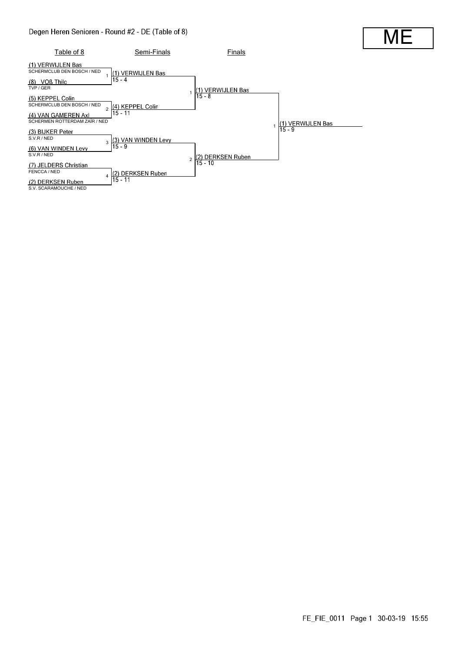

MI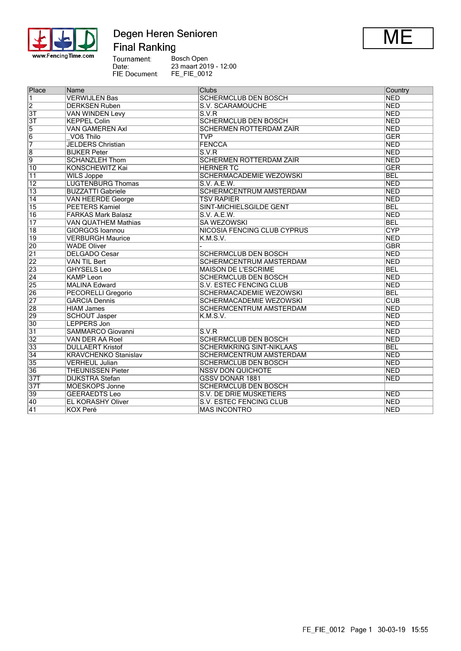

# Degen Heren Senioren **Final Ranking**



Tournament:<br>Date:<br>FIE Document: Bosch Open 23 maart 2019 - 12:00 FE\_FIE\_0012

| Place           | Name                        | <b>Clubs</b>                       | Country                 |
|-----------------|-----------------------------|------------------------------------|-------------------------|
| $\overline{1}$  | <b>VERWIJLEN Bas</b>        | <b>SCHERMCLUB DEN BOSCH</b>        | <b>NED</b>              |
| $\overline{2}$  | <b>DERKSEN Ruben</b>        | S.V. SCARAMOUCHE                   | <b>NED</b>              |
| $\overline{3T}$ | VAN WINDEN Levy             | S.V.R                              | <b>NED</b>              |
| $\overline{3T}$ | <b>KEPPEL Colin</b>         | <b>SCHERMCLUB DEN BOSCH</b>        | <b>NED</b>              |
| $\overline{5}$  | <b>VAN GAMEREN Axl</b>      | <b>SCHERMEN ROTTERDAM ZAÏR</b>     | <b>NED</b>              |
| $\overline{6}$  | VOß Thilo                   | <b>TVP</b>                         | GER                     |
| 7               | <b>JELDERS Christian</b>    | <b>FENCCA</b>                      | <b>NED</b>              |
| $\overline{8}$  | <b>BIJKER Peter</b>         | S.V.R                              | <b>NED</b>              |
| $\overline{9}$  | <b>SCHANZLEH Thom</b>       | <b>SCHERMEN ROTTERDAM ZAÏR</b>     | <b>NED</b>              |
| 10              | <b>KONSCHEWITZ Kai</b>      | <b>HERNER TC</b>                   | <b>GER</b>              |
| $\overline{11}$ | <b>WILS Joppe</b>           | <b>SCHERMACADEMIE WEZOWSKI</b>     | <b>BEL</b>              |
| $\overline{12}$ | <b>LUGTENBURG Thomas</b>    | S.V. A.E.W.                        | <b>NED</b>              |
| $\overline{13}$ | <b>BUZZATTI Gabriele</b>    | <b>SCHERMCENTRUM AMSTERDAM</b>     | <b>NED</b>              |
| $\overline{14}$ | VAN HEERDE George           | <b>TSV RAPIER</b>                  | <b>NED</b>              |
| 15              | <b>PEETERS Kamiel</b>       | <b>SINT-MICHIELSGILDE GENT</b>     | <b>BEL</b>              |
| $\overline{16}$ | <b>FARKAS Mark Balasz</b>   | S.V. A.E.W.                        | <b>NED</b>              |
| $\overline{17}$ | <b>VAN QUATHEM Mathias</b>  | <b>SA WEZOWSKI</b>                 | <b>BEL</b>              |
| $\overline{18}$ | <b>GIORGOS Ioannou</b>      | <b>NICOSIA FENCING CLUB CYPRUS</b> | <b>CYP</b>              |
| 19              | <b>VERBURGH Maurice</b>     | K.M.S.V.                           | <b>NED</b>              |
| 20              | <b>WADE Oliver</b>          |                                    | <b>GBR</b>              |
| $\overline{21}$ | <b>DELGADO Cesar</b>        | <b>SCHERMCLUB DEN BOSCH</b>        | <b>NED</b>              |
| $\overline{22}$ | VAN TIL Bert                | SCHERMCENTRUM AMSTERDAM            | <b>NED</b>              |
| 23              | <b>GHYSELS Leo</b>          | <b>MAISON DE L'ESCRIME</b>         | <b>BEL</b>              |
| $\overline{24}$ | <b>KAMP Leon</b>            | <b>SCHERMCLUB DEN BOSCH</b>        | NED                     |
| 25              | <b>MALINA Edward</b>        | S.V. ESTEC FENCING CLUB            | <b>NED</b>              |
| 26              | <b>PECORELLI Gregorio</b>   | <b>SCHERMACADEMIE WEZOWSKI</b>     | <b>BEL</b>              |
| $\overline{27}$ | <b>GARCIA Dennis</b>        | <b>SCHERMACADEMIE WEZOWSKI</b>     | $\overline{\text{CUB}}$ |
| 28              | <b>HIAM James</b>           | <b>SCHERMCENTRUM AMSTERDAM</b>     | <b>NED</b>              |
| 29              | <b>SCHOUT Jasper</b>        | K.M.S.V.                           | <b>NED</b>              |
| 30              | LEPPERS Jon                 |                                    | <b>NED</b>              |
| $\overline{31}$ | SAMMARCO Giovanni           | S.V.R                              | <b>NED</b>              |
| 32              | VAN DER AA Roel             | <b>SCHERMCLUB DEN BOSCH</b>        | <b>NED</b>              |
| 33              | <b>DULLAERT Kristof</b>     | <b>SCHERMKRING SINT-NIKLAAS</b>    | <b>BEL</b>              |
| 34              | <b>KRAVCHENKO Stanislav</b> | <b>SCHERMCENTRUM AMSTERDAM</b>     | <b>NED</b>              |
| 35              | <b>VERHEUL Julian</b>       | <b>SCHERMCLUB DEN BOSCH</b>        | <b>NED</b>              |
| 36              | <b>THEUNISSEN Pieter</b>    | <b>NSSV DON QUICHOTE</b>           | <b>NED</b>              |
| 37T             | <b>DIJKSTRA Stefan</b>      | <b>GSSV DONAR 1881</b>             | <b>NED</b>              |
| 37T             | <b>MOESKOPS Jonne</b>       | <b>SCHERMCLUB DEN BOSCH</b>        |                         |
| 39              | <b>GEERAEDTS Leo</b>        | <b>S.V. DE DRIE MUSKETIERS</b>     | NED                     |
| 40              | <b>EL KORASHY Oliver</b>    | S.V. ESTEC FENCING CLUB            | <b>NED</b>              |
| $\overline{41}$ | <b>KOX Peré</b>             | <b>MAS INCONTRO</b>                | NED                     |